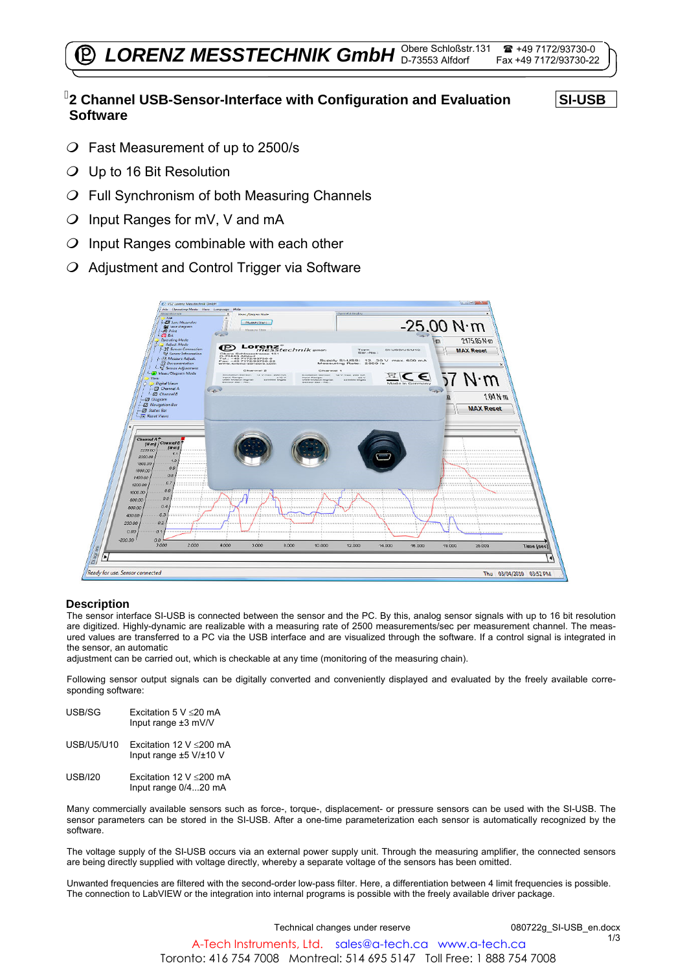# **2 Channel USB-Sensor-Interface with Configuration and Evaluation Software**

**SI-USB** 

- Fast Measurement of up to 2500/s
- $O$  Up to 16 Bit Resolution
- $O$  Full Synchronism of both Measuring Channels
- $O$  Input Ranges for mV, V and mA
- $O$  Input Ranges combinable with each other
- $O$  Adjustment and Control Trigger via Software



### **Description**

The sensor interface SI-USB is connected between the sensor and the PC. By this, analog sensor signals with up to 16 bit resolution are digitized. Highly-dynamic are realizable with a measuring rate of 2500 measurements/sec per measurement channel. The measured values are transferred to a PC via the USB interface and are visualized through the software. If a control signal is integrated in the sensor, an automatic

adjustment can be carried out, which is checkable at any time (monitoring of the measuring chain).

Following sensor output signals can be digitally converted and conveniently displayed and evaluated by the freely available corresponding software:

| USB/SG            | Excitation 5 V $\leq$ 20 mA<br>Input range $\pm 3$ mV/V      |
|-------------------|--------------------------------------------------------------|
| <b>USB/U5/U10</b> | Excitation 12 V $\leq$ 200 mA<br>Input range $±5$ V/ $±10$ V |
|                   |                                                              |

USB/I20 Excitation 12 V  $\leq$ 200 mA Input range 0/4...20 mA

Many commercially available sensors such as force-, torque-, displacement- or pressure sensors can be used with the SI-USB. The sensor parameters can be stored in the SI-USB. After a one-time parameterization each sensor is automatically recognized by the software.

The voltage supply of the SI-USB occurs via an external power supply unit. Through the measuring amplifier, the connected sensors are being directly supplied with voltage directly, whereby a separate voltage of the sensors has been omitted.

Unwanted frequencies are filtered with the second-order low-pass filter. Here, a differentiation between 4 limit frequencies is possible. The connection to LabVIEW or the integration into internal programs is possible with the freely available driver package.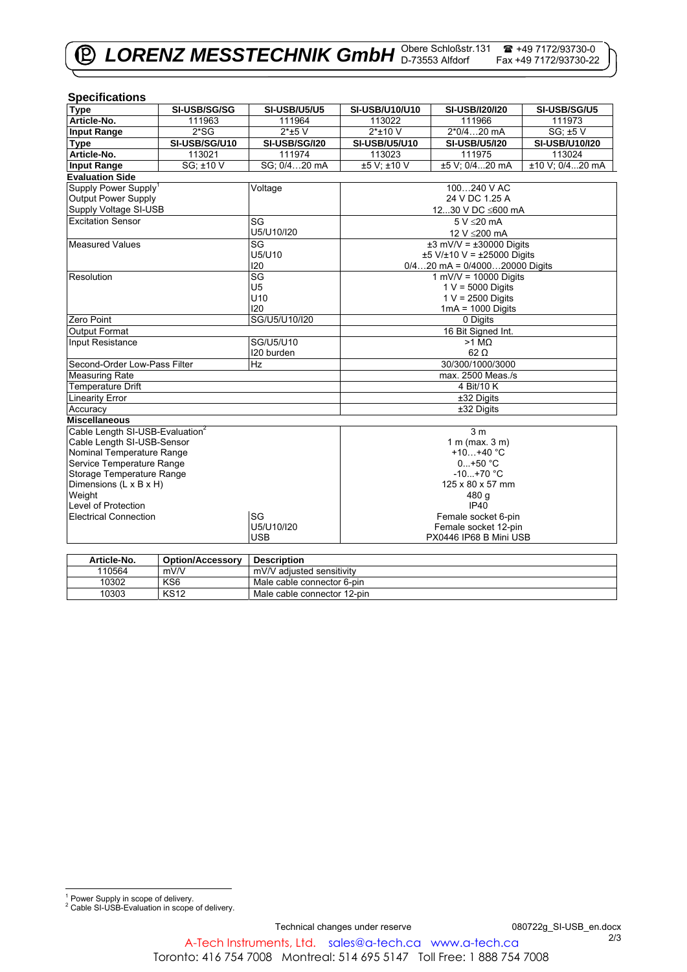| <b>Type</b><br>SI-USB/SG/SG<br><b>SI-USB/U5/U5</b><br>SI-USB/I20/I20<br>SI-USB/U10/U10<br>SI-USB/SG/U5<br>Article-No.<br>111963<br>111964<br>113022<br>111966<br>111973<br>$2*SG$<br>2*0/420 mA<br>SG; ±5 V<br><b>Input Range</b><br>$2*$ +5 V<br>$2*$ ±10 V<br>SI-USB/SG/U10<br><b>SI-USB/U5/U10</b><br><b>SI-USB/U5/I20</b><br>SI-USB/U10/I20<br><b>Type</b><br><b>SI-USB/SG/I20</b><br>Article-No.<br>111974<br>113023<br>111975<br>113021<br>113024<br>SG: ±10 V<br>SG: 0/420 mA<br>±5 V; ±10 V<br>±5 V; 0/420 mA<br>±10 V; 0/420 mA<br><b>Input Range</b><br><b>Evaluation Side</b><br>Supply Power Supply <sup>1</sup><br>100240 V AC<br>Voltage<br><b>Output Power Supply</b><br>24 V DC 1.25 A<br>Supply Voltage SI-USB<br>1230 V DC ≤600 mA<br><b>Excitation Sensor</b><br>SG<br>5 V < 20 mA<br>U5/U10/I20<br>12 V ≤200 mA<br>SG<br>$±3$ mV/V = $±30000$ Digits<br><b>Measured Values</b><br>U5/U10<br>$±5$ V/ $±10$ V = $±25000$ Digits<br>120<br>$0/420$ mA = $0/400020000$ Digits<br>SG<br>$1$ mV/V = 10000 Digits<br>Resolution<br>U <sub>5</sub><br>$1 V = 5000$ Digits<br>U <sub>10</sub><br>$1 V = 2500$ Digits<br>120<br>$1mA = 1000$ Digits | <b>Specifications</b> |  |             |  |  |  |  |
|---------------------------------------------------------------------------------------------------------------------------------------------------------------------------------------------------------------------------------------------------------------------------------------------------------------------------------------------------------------------------------------------------------------------------------------------------------------------------------------------------------------------------------------------------------------------------------------------------------------------------------------------------------------------------------------------------------------------------------------------------------------------------------------------------------------------------------------------------------------------------------------------------------------------------------------------------------------------------------------------------------------------------------------------------------------------------------------------------------------------------------------------------------------|-----------------------|--|-------------|--|--|--|--|
|                                                                                                                                                                                                                                                                                                                                                                                                                                                                                                                                                                                                                                                                                                                                                                                                                                                                                                                                                                                                                                                                                                                                                               |                       |  |             |  |  |  |  |
|                                                                                                                                                                                                                                                                                                                                                                                                                                                                                                                                                                                                                                                                                                                                                                                                                                                                                                                                                                                                                                                                                                                                                               |                       |  |             |  |  |  |  |
|                                                                                                                                                                                                                                                                                                                                                                                                                                                                                                                                                                                                                                                                                                                                                                                                                                                                                                                                                                                                                                                                                                                                                               |                       |  |             |  |  |  |  |
|                                                                                                                                                                                                                                                                                                                                                                                                                                                                                                                                                                                                                                                                                                                                                                                                                                                                                                                                                                                                                                                                                                                                                               |                       |  |             |  |  |  |  |
|                                                                                                                                                                                                                                                                                                                                                                                                                                                                                                                                                                                                                                                                                                                                                                                                                                                                                                                                                                                                                                                                                                                                                               |                       |  |             |  |  |  |  |
|                                                                                                                                                                                                                                                                                                                                                                                                                                                                                                                                                                                                                                                                                                                                                                                                                                                                                                                                                                                                                                                                                                                                                               |                       |  |             |  |  |  |  |
|                                                                                                                                                                                                                                                                                                                                                                                                                                                                                                                                                                                                                                                                                                                                                                                                                                                                                                                                                                                                                                                                                                                                                               |                       |  |             |  |  |  |  |
|                                                                                                                                                                                                                                                                                                                                                                                                                                                                                                                                                                                                                                                                                                                                                                                                                                                                                                                                                                                                                                                                                                                                                               |                       |  |             |  |  |  |  |
|                                                                                                                                                                                                                                                                                                                                                                                                                                                                                                                                                                                                                                                                                                                                                                                                                                                                                                                                                                                                                                                                                                                                                               |                       |  |             |  |  |  |  |
|                                                                                                                                                                                                                                                                                                                                                                                                                                                                                                                                                                                                                                                                                                                                                                                                                                                                                                                                                                                                                                                                                                                                                               |                       |  |             |  |  |  |  |
|                                                                                                                                                                                                                                                                                                                                                                                                                                                                                                                                                                                                                                                                                                                                                                                                                                                                                                                                                                                                                                                                                                                                                               |                       |  |             |  |  |  |  |
|                                                                                                                                                                                                                                                                                                                                                                                                                                                                                                                                                                                                                                                                                                                                                                                                                                                                                                                                                                                                                                                                                                                                                               |                       |  |             |  |  |  |  |
|                                                                                                                                                                                                                                                                                                                                                                                                                                                                                                                                                                                                                                                                                                                                                                                                                                                                                                                                                                                                                                                                                                                                                               |                       |  |             |  |  |  |  |
|                                                                                                                                                                                                                                                                                                                                                                                                                                                                                                                                                                                                                                                                                                                                                                                                                                                                                                                                                                                                                                                                                                                                                               |                       |  |             |  |  |  |  |
|                                                                                                                                                                                                                                                                                                                                                                                                                                                                                                                                                                                                                                                                                                                                                                                                                                                                                                                                                                                                                                                                                                                                                               |                       |  |             |  |  |  |  |
|                                                                                                                                                                                                                                                                                                                                                                                                                                                                                                                                                                                                                                                                                                                                                                                                                                                                                                                                                                                                                                                                                                                                                               |                       |  |             |  |  |  |  |
|                                                                                                                                                                                                                                                                                                                                                                                                                                                                                                                                                                                                                                                                                                                                                                                                                                                                                                                                                                                                                                                                                                                                                               |                       |  |             |  |  |  |  |
|                                                                                                                                                                                                                                                                                                                                                                                                                                                                                                                                                                                                                                                                                                                                                                                                                                                                                                                                                                                                                                                                                                                                                               |                       |  |             |  |  |  |  |
| Zero Point                                                                                                                                                                                                                                                                                                                                                                                                                                                                                                                                                                                                                                                                                                                                                                                                                                                                                                                                                                                                                                                                                                                                                    |                       |  |             |  |  |  |  |
| 16 Bit Signed Int.<br>Output Format                                                                                                                                                                                                                                                                                                                                                                                                                                                                                                                                                                                                                                                                                                                                                                                                                                                                                                                                                                                                                                                                                                                           | SG/U5/U10/I20         |  | 0 Digits    |  |  |  |  |
| SG/U5/U10<br>Input Resistance<br>$>1$ MQ                                                                                                                                                                                                                                                                                                                                                                                                                                                                                                                                                                                                                                                                                                                                                                                                                                                                                                                                                                                                                                                                                                                      |                       |  |             |  |  |  |  |
| $62 \Omega$<br>I20 burden                                                                                                                                                                                                                                                                                                                                                                                                                                                                                                                                                                                                                                                                                                                                                                                                                                                                                                                                                                                                                                                                                                                                     |                       |  |             |  |  |  |  |
| Second-Order Low-Pass Filter<br>30/300/1000/3000<br>Hz                                                                                                                                                                                                                                                                                                                                                                                                                                                                                                                                                                                                                                                                                                                                                                                                                                                                                                                                                                                                                                                                                                        |                       |  |             |  |  |  |  |
| <b>Measuring Rate</b><br>max. 2500 Meas./s                                                                                                                                                                                                                                                                                                                                                                                                                                                                                                                                                                                                                                                                                                                                                                                                                                                                                                                                                                                                                                                                                                                    |                       |  |             |  |  |  |  |
| <b>Temperature Drift</b><br>4 Bit/10 K                                                                                                                                                                                                                                                                                                                                                                                                                                                                                                                                                                                                                                                                                                                                                                                                                                                                                                                                                                                                                                                                                                                        |                       |  |             |  |  |  |  |
| <b>Linearity Error</b><br>±32 Digits                                                                                                                                                                                                                                                                                                                                                                                                                                                                                                                                                                                                                                                                                                                                                                                                                                                                                                                                                                                                                                                                                                                          |                       |  |             |  |  |  |  |
| ±32 Digits<br>Accuracy                                                                                                                                                                                                                                                                                                                                                                                                                                                                                                                                                                                                                                                                                                                                                                                                                                                                                                                                                                                                                                                                                                                                        |                       |  |             |  |  |  |  |
| <b>Miscellaneous</b>                                                                                                                                                                                                                                                                                                                                                                                                                                                                                                                                                                                                                                                                                                                                                                                                                                                                                                                                                                                                                                                                                                                                          |                       |  |             |  |  |  |  |
| Cable Length SI-USB-Evaluation <sup>2</sup><br>3 <sub>m</sub>                                                                                                                                                                                                                                                                                                                                                                                                                                                                                                                                                                                                                                                                                                                                                                                                                                                                                                                                                                                                                                                                                                 |                       |  |             |  |  |  |  |
| Cable Length SI-USB-Sensor<br>$1 m$ (max. $3 m$ )                                                                                                                                                                                                                                                                                                                                                                                                                                                                                                                                                                                                                                                                                                                                                                                                                                                                                                                                                                                                                                                                                                             |                       |  |             |  |  |  |  |
| Nominal Temperature Range<br>+10+40 $°C$                                                                                                                                                                                                                                                                                                                                                                                                                                                                                                                                                                                                                                                                                                                                                                                                                                                                                                                                                                                                                                                                                                                      |                       |  |             |  |  |  |  |
| Service Temperature Range                                                                                                                                                                                                                                                                                                                                                                                                                                                                                                                                                                                                                                                                                                                                                                                                                                                                                                                                                                                                                                                                                                                                     |                       |  | $0+50 °C$   |  |  |  |  |
| Storage Temperature Range<br>$-10+70$ °C                                                                                                                                                                                                                                                                                                                                                                                                                                                                                                                                                                                                                                                                                                                                                                                                                                                                                                                                                                                                                                                                                                                      |                       |  |             |  |  |  |  |
| Dimensions (L x B x H)<br>125 x 80 x 57 mm                                                                                                                                                                                                                                                                                                                                                                                                                                                                                                                                                                                                                                                                                                                                                                                                                                                                                                                                                                                                                                                                                                                    |                       |  |             |  |  |  |  |
| Weight<br>480 g                                                                                                                                                                                                                                                                                                                                                                                                                                                                                                                                                                                                                                                                                                                                                                                                                                                                                                                                                                                                                                                                                                                                               |                       |  |             |  |  |  |  |
|                                                                                                                                                                                                                                                                                                                                                                                                                                                                                                                                                                                                                                                                                                                                                                                                                                                                                                                                                                                                                                                                                                                                                               | Level of Protection   |  | <b>IP40</b> |  |  |  |  |
| SG<br><b>Electrical Connection</b><br>Female socket 6-pin                                                                                                                                                                                                                                                                                                                                                                                                                                                                                                                                                                                                                                                                                                                                                                                                                                                                                                                                                                                                                                                                                                     |                       |  |             |  |  |  |  |
| U5/U10/I20<br>Female socket 12-pin                                                                                                                                                                                                                                                                                                                                                                                                                                                                                                                                                                                                                                                                                                                                                                                                                                                                                                                                                                                                                                                                                                                            |                       |  |             |  |  |  |  |
| <b>USB</b><br>PX0446 IP68 B Mini USB                                                                                                                                                                                                                                                                                                                                                                                                                                                                                                                                                                                                                                                                                                                                                                                                                                                                                                                                                                                                                                                                                                                          |                       |  |             |  |  |  |  |

| Article-No. | <b>Option/Accessory</b> | <b>Description</b>          |
|-------------|-------------------------|-----------------------------|
| 110564      | mV/V                    | mV/V adiusted sensitivity   |
| 10302       | KS <sub>6</sub>         | Male cable connector 6-pin  |
| 10303       | <b>KS12</b>             | Male cable connector 12-pin |

 1 Power Supply in scope of delivery. 2 Cable SI-USB-Evaluation in scope of delivery.